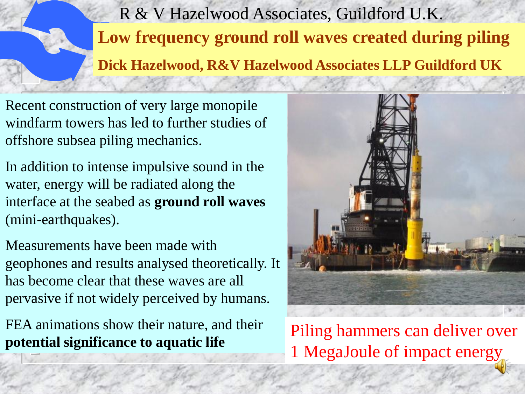R & V Hazelwood Associates, Guildford U.K. **Low frequency ground roll waves created during piling Dick Hazelwood, R&V Hazelwood Associates LLP Guildford UK**

Recent construction of very large monopile windfarm towers has led to further studies of offshore subsea piling mechanics.

In addition to intense impulsive sound in the water, energy will be radiated along the interface at the seabed as **ground roll waves** (mini-earthquakes).

Measurements have been made with geophones and results analysed theoretically. It has become clear that these waves are all pervasive if not widely perceived by humans.

FEA animations show their nature, and their **potential significance to aquatic life** Piling hammers can deliver over



1 MegaJoule of impact energy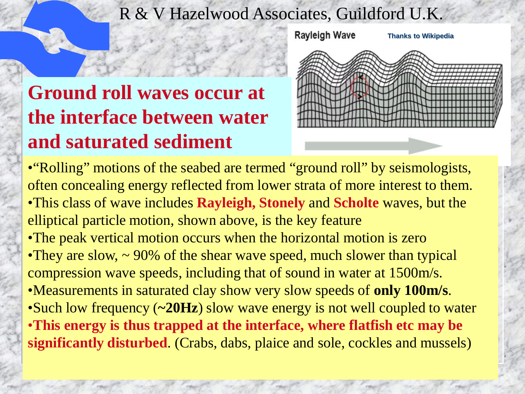# **Ground roll waves occur at the interface between water and saturated sediment**



• "Rolling" motions of the seabed are termed "ground roll" by seismologists, often concealing energy reflected from lower strata of more interest to them. •This class of wave includes **Rayleigh, Stonely** and **Scholte** waves, but the elliptical particle motion, shown above, is the key feature •The peak vertical motion occurs when the horizontal motion is zero •They are slow,  $\sim$  90% of the shear wave speed, much slower than typical compression wave speeds, including that of sound in water at 1500m/s. •Measurements in saturated clay show very slow speeds of **only 100m/s**. •Such low frequency (**~20Hz**) slow wave energy is not well coupled to water •**This energy is thus trapped at the interface, where flatfish etc may be significantly disturbed**. (Crabs, dabs, plaice and sole, cockles and mussels)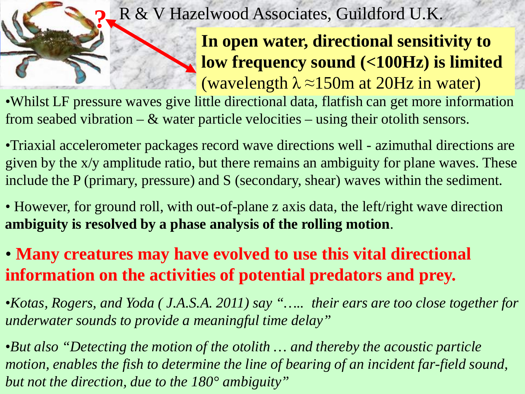**In open water, directional sensitivity to low frequency sound (<100Hz) is limited**  (wavelength  $\lambda \approx 150$ m at 20Hz in water)

•Whilst LF pressure waves give little directional data, flatfish can get more information from seabed vibration –  $\&$  water particle velocities – using their otolith sensors.

•Triaxial accelerometer packages record wave directions well - azimuthal directions are given by the x/y amplitude ratio, but there remains an ambiguity for plane waves. These include the P (primary, pressure) and S (secondary, shear) waves within the sediment.

• However, for ground roll, with out-of-plane z axis data, the left/right wave direction **ambiguity is resolved by a phase analysis of the rolling motion**.

### • **Many creatures may have evolved to use this vital directional information on the activities of potential predators and prey.**

•*Kotas, Rogers, and Yoda ( J.A.S.A. 2011) say "….. their ears are too close together for underwater sounds to provide a meaningful time delay"* 

•*But also "Detecting the motion of the otolith … and thereby the acoustic particle motion, enables the fish to determine the line of bearing of an incident far-field sound, but not the direction, due to the 180° ambiguity"*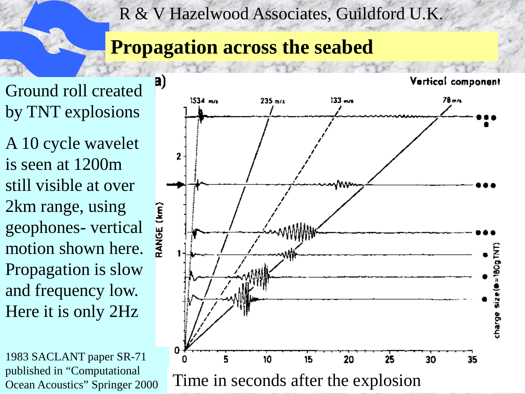## **Propagation across the seabed**

Ground roll created by TNT explosions

A 10 cycle wavelet is seen at 1200m still visible at over 2km range, using geophones- vertical motion shown here. Propagation is slow and frequency low. Here it is only 2Hz

1983 SACLANT paper SR-71 published in "Computational

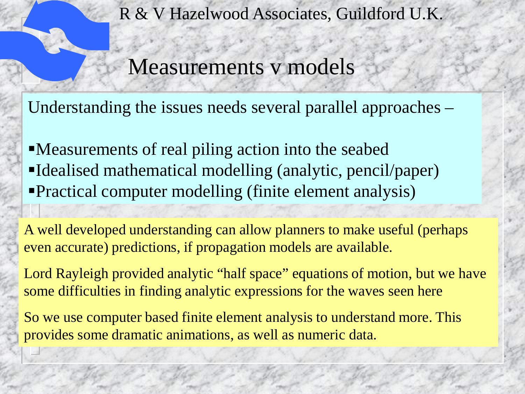Measurements v models

Understanding the issues needs several parallel approaches –

Measurements of real piling action into the seabed Idealised mathematical modelling (analytic, pencil/paper) Practical computer modelling (finite element analysis)

A well developed understanding can allow planners to make useful (perhaps even accurate) predictions, if propagation models are available.

Lord Rayleigh provided analytic "half space" equations of motion, but we have some difficulties in finding analytic expressions for the waves seen here

So we use computer based finite element analysis to understand more. This provides some dramatic animations, as well as numeric data.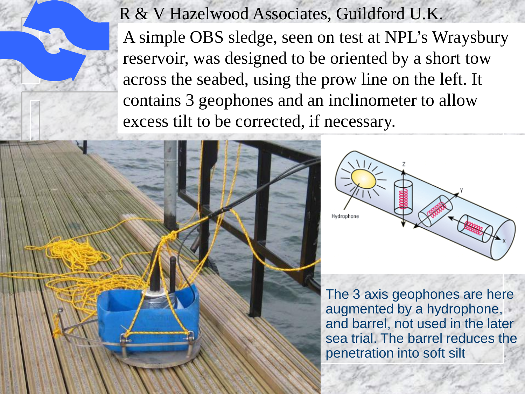R & V Hazelwood Associates, Guildford U.K. A simple OBS sledge, seen on test at NPL's Wraysbury reservoir, was designed to be oriented by a short tow across the seabed, using the prow line on the left. It contains 3 geophones and an inclinometer to allow excess tilt to be corrected, if necessary.





The 3 axis geophones are here augmented by a hydrophone, and barrel, not used in the later sea trial. The barrel reduces the penetration into soft silt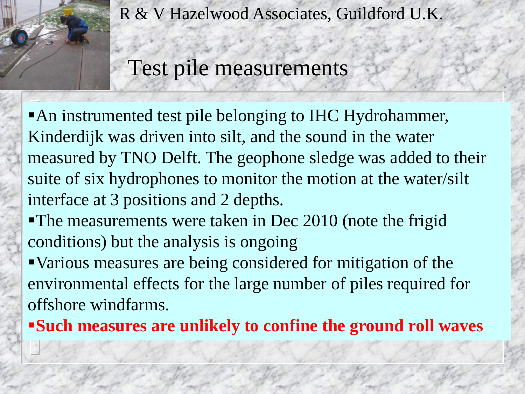

Test pile measurements

An instrumented test pile belonging to IHC Hydrohammer, Kinderdijk was driven into silt, and the sound in the water measured by TNO Delft. The geophone sledge was added to their suite of six hydrophones to monitor the motion at the water/silt interface at 3 positions and 2 depths.

The measurements were taken in Dec 2010 (note the frigid conditions) but the analysis is ongoing

Various measures are being considered for mitigation of the environmental effects for the large number of piles required for offshore windfarms.

**Such measures are unlikely to confine the ground roll waves**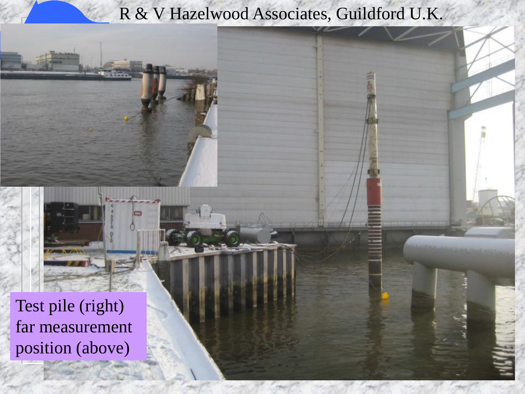Test pile (right) far measurement position (above)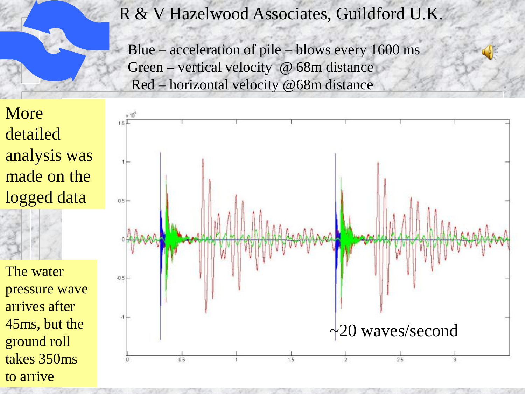Blue – acceleration of pile – blows every 1600 ms Green – vertical velocity @ 68m distance Red – horizontal velocity @68m distance

More detailed analysis was made on the logged data

The water pressure wave arrives after 45ms, but the ground roll takes 350ms to arrive

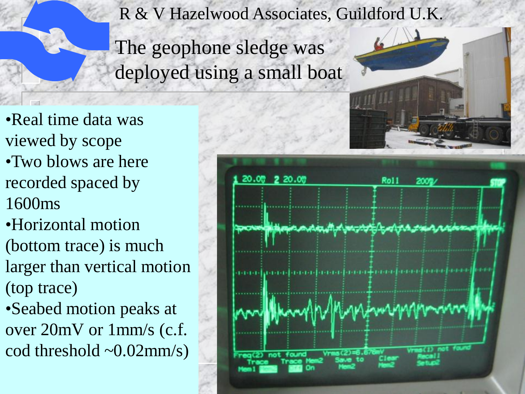The geophone sledge was deployed using a small boat

- •Real time data was viewed by scope •Two blows are here recorded spaced by 1600ms
- •Horizontal motion (bottom trace) is much larger than vertical motion (top trace)
- •Seabed motion peaks at over 20mV or 1mm/s (c.f. cod threshold  $\sim 0.02$ mm/s)

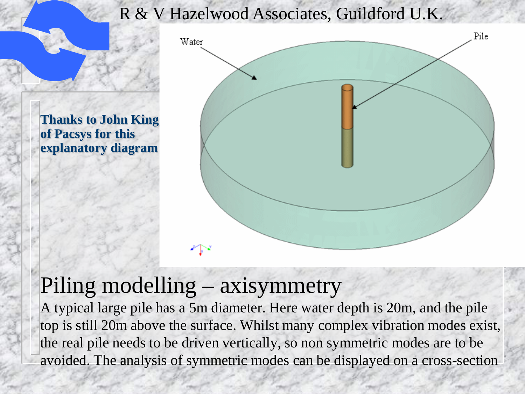**Thanks to John King of Pacsys for this explanatory diagram**



# Piling modelling – axisymmetry

A typical large pile has a 5m diameter. Here water depth is 20m, and the pile top is still 20m above the surface. Whilst many complex vibration modes exist, the real pile needs to be driven vertically, so non symmetric modes are to be avoided. The analysis of symmetric modes can be displayed on a cross-section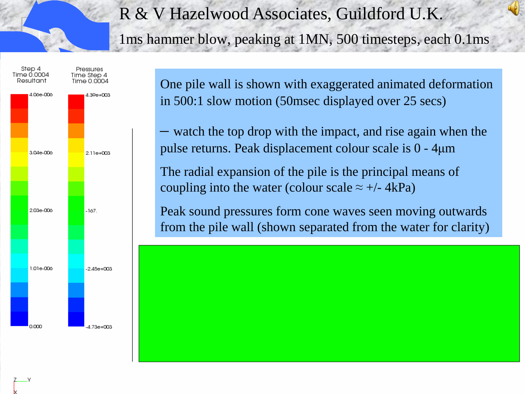1ms hammer blow, peaking at 1MN, 500 timesteps, each 0.1ms



One pile wall is shown with exaggerated animated deformation in 500:1 slow motion (50msec displayed over 25 secs)

– watch the top drop with the impact, and rise again when the pulse returns. Peak displacement colour scale is 0 - 4μm

The radial expansion of the pile is the principal means of coupling into the water (colour scale  $\approx +/- 4kPa$ )

Peak sound pressures form cone waves seen moving outwards from the pile wall (shown separated from the water for clarity)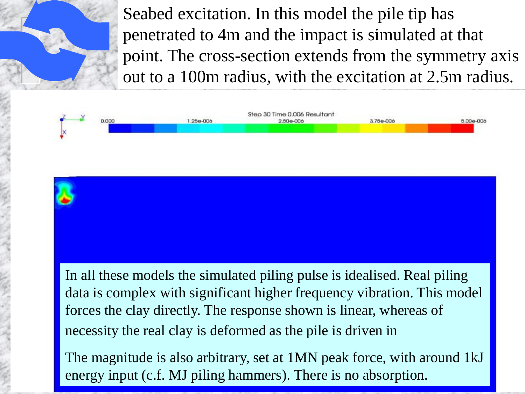Seabed excitation. In this model the pile tip has penetrated to 4m and the impact is simulated at that point. The cross-section extends from the symmetry axis out to a 100m radius, with the excitation at 2.5m radius.



In all these models the simulated piling pulse is idealised. Real piling data is complex with significant higher frequency vibration. This model forces the clay directly. The response shown is linear, whereas of necessity the real clay is deformed as the pile is driven in

The magnitude is also arbitrary, set at 1MN peak force, with around 1kJ energy input (c.f. MJ piling hammers). There is no absorption.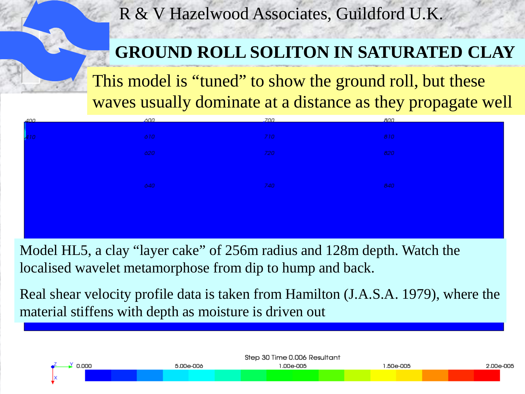### **GROUND ROLL SOLITON IN SATURATED CLAY**

This model is "tuned" to show the ground roll, but these waves usually dominate at a distance as they propagate well

| $400 -$         | ,600 | .700 | 800 |
|-----------------|------|------|-----|
|                 |      |      |     |
| $\frac{1}{410}$ | 610  | 710  | 810 |
|                 |      |      |     |
|                 | 620  | 720  | 820 |
|                 |      |      |     |
|                 |      |      |     |
|                 |      |      |     |
|                 | 640  | 740  | 840 |
|                 |      |      |     |
|                 |      |      |     |
|                 |      |      |     |
|                 |      |      |     |
|                 |      |      |     |

Model HL5, a clay "layer cake" of 256m radius and 128m depth. Watch the localised wavelet metamorphose from dip to hump and back.

Real shear velocity profile data is taken from Hamilton (J.A.S.A. 1979), where the material stiffens with depth as moisture is driven out

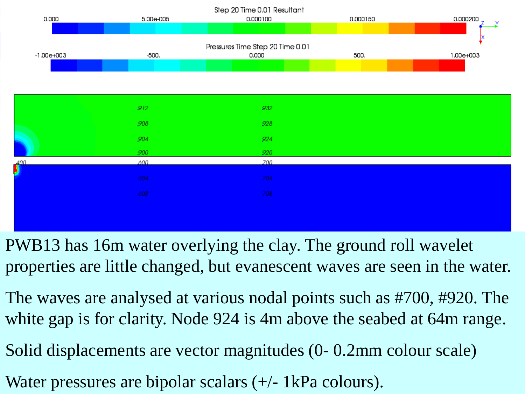

- PWB13 has 16m water overlying the clay. The ground roll wavelet properties are little changed, but evanescent waves are seen in the water.
- The waves are analysed at various nodal points such as #700, #920. The white gap is for clarity. Node 924 is 4m above the seabed at 64m range.
- Solid displacements are vector magnitudes (0- 0.2mm colour scale)
- Water pressures are bipolar scalars  $(+/- 1kPa$  colours).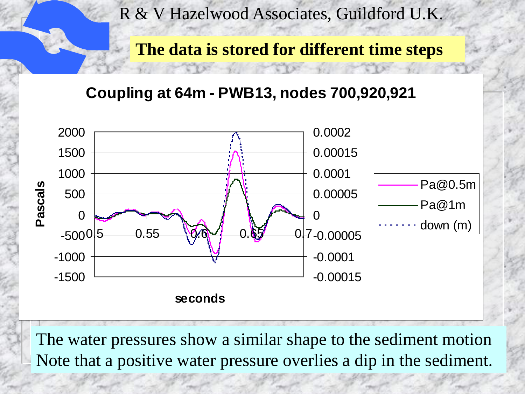

**The data is stored for different time steps**

**Coupling at 64m - PWB13, nodes 700,920,921**



The water pressures show a similar shape to the sediment motion Note that a positive water pressure overlies a dip in the sediment.